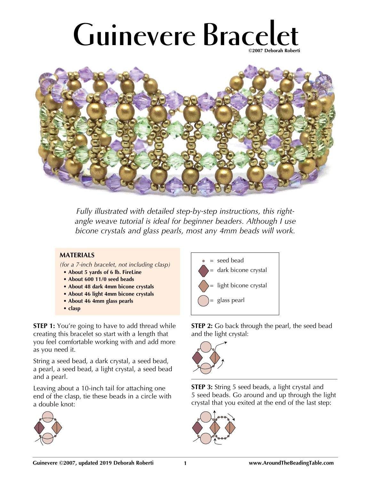## **Guinevere Bracelet ©2007 Deborah Roberti**



*Fully illustrated with detailed step-by-step instructions, this rightangle weave tutorial is ideal for beginner beaders. Although I use bicone crystals and glass pearls, most any 4mm beads will work.*

## **MATERIALS**

*(for a 7-inch bracelet, not including clasp)*

- **About 5 yards of 6 lb. FireLine**
- **About 600 11/0 seed beads**
- **About 48 dark 4mm bicone crystals**
- **About 46 light 4mm bicone crystals**
- **About 46 4mm glass pearls**
- **clasp**

**STEP 1:** You're going to have to add thread while creating this bracelet so start with a length that you feel comfortable working with and add more as you need it.

String a seed bead, a dark crystal, a seed bead, a pearl, a seed bead, a light crystal, a seed bead and a pearl.

Leaving about a 10-inch tail for attaching one end of the clasp, tie these beads in a circle with a double knot:





**STEP 2:** Go back through the pearl, the seed bead and the light crystal:



**STEP 3:** String 5 seed beads, a light crystal and 5 seed beads. Go around and up through the light crystal that you exited at the end of the last step:

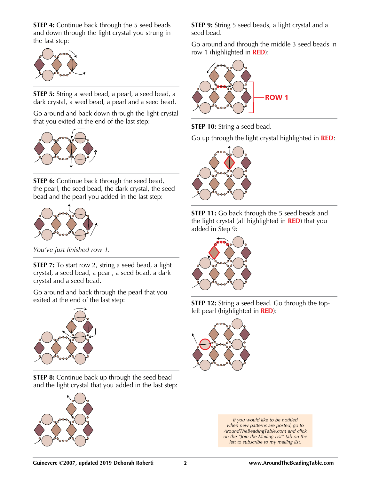**STEP 4:** Continue back through the 5 seed beads and down through the light crystal you strung in the last step:



**STEP 5:** String a seed bead, a pearl, a seed bead, a dark crystal, a seed bead, a pearl and a seed bead.

Go around and back down through the light crystal that you exited at the end of the last step:



**STEP 6:** Continue back through the seed bead, the pearl, the seed bead, the dark crystal, the seed bead and the pearl you added in the last step:



*You've just finished row 1.*

**STEP 7:** To start row 2, string a seed bead, a light crystal, a seed bead, a pearl, a seed bead, a dark crystal and a seed bead.

Go around and back through the pearl that you exited at the end of the last step:



**STEP 8:** Continue back up through the seed bead and the light crystal that you added in the last step:



**STEP 9:** String 5 seed beads, a light crystal and a seed bead.

Go around and through the middle 3 seed beads in row 1 (highlighted in **RED**):



**STEP 10:** String a seed bead.

Go up through the light crystal highlighted in **RED**:









*If you would like to be notified when new patterns are posted, go to AroundTheBeadingTable.com and click on the "Join the Mailing List" tab on the left to subscribe to my mailing list.*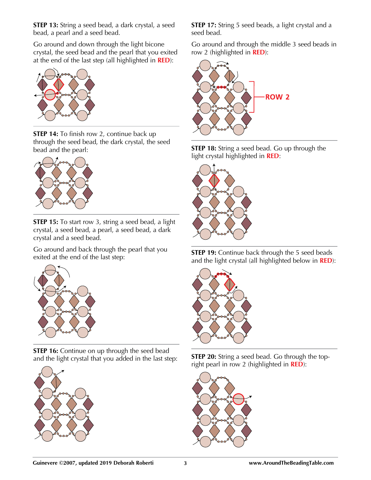**STEP 13:** String a seed bead, a dark crystal, a seed bead, a pearl and a seed bead.

Go around and down through the light bicone crystal, the seed bead and the pearl that you exited at the end of the last step (all highlighted in **RED**):



**STEP 14:** To finish row 2, continue back up through the seed bead, the dark crystal, the seed bead and the pearl:



**STEP 15:** To start row 3, string a seed bead, a light crystal, a seed bead, a pearl, a seed bead, a dark crystal and a seed bead.

Go around and back through the pearl that you exited at the end of the last step:



**STEP 16:** Continue on up through the seed bead and the light crystal that you added in the last step:



**STEP 17:** String 5 seed beads, a light crystal and a seed bead.

Go around and through the middle 3 seed beads in row 2 (highlighted in **RED**):







**STEP 19:** Continue back through the 5 seed beads and the light crystal (all highlighted below in **RED**):



**STEP 20:** String a seed bead. Go through the topright pearl in row 2 (highlighted in **RED**):